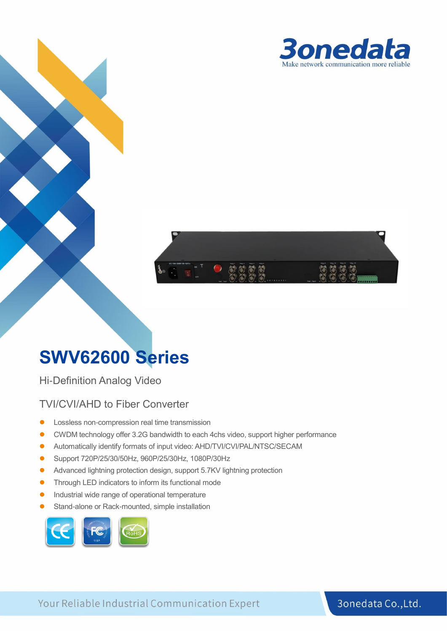



# **SWV62600 Series**

Hi-Definition Analog Video

#### TVI/CVI/AHD to Fiber Converter

- Lossless non-compression real time transmission
- CWDM technology offer 3.2G bandwidth to each 4chs video, support higher performance
- ⚫ Automatically identify formats of input video: AHD/TVI/CVI/PAL/NTSC/SECAM
- Support 720P/25/30/50Hz, 960P/25/30Hz, 1080P/30Hz
- Advanced lightning protection design, support 5.7KV lightning protection
- Through LED indicators to inform its functional mode
- ⚫ Industrial wide range of operational temperature
- Stand-alone or Rack-mounted, simple installation



#### 3onedata Co., Ltd.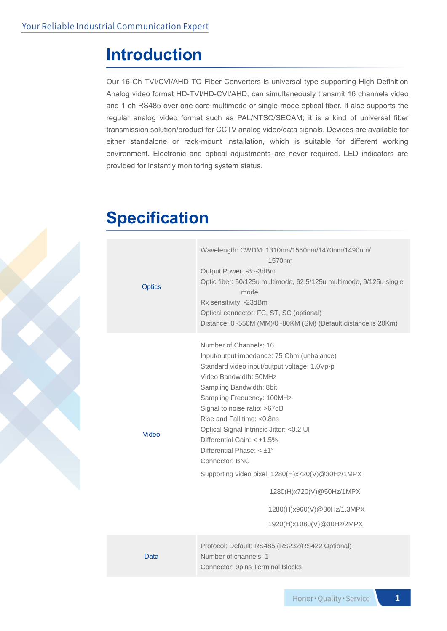### **Introduction**

Our 16-Ch TVI/CVI/AHD TO Fiber Converters is universal type supporting High Definition Analog video format HD-TVI/HD-CVI/AHD, can simultaneously transmit 16 channels video and 1-ch RS485 over one core multimode or single-mode optical fiber. It also supports the regular analog video format such as PAL/NTSC/SECAM; it is a kind of universal fiber transmission solution/product for CCTV analog video/data signals. Devices are available for either standalone or rack-mount installation, which is suitable for different working environment. Electronic and optical adjustments are never required. LED indicators are provided for instantly monitoring system status.

### **Specification**

| <b>Optics</b> | Wavelength: CWDM: 1310nm/1550nm/1470nm/1490nm/<br>1570 <sub>nm</sub><br>Output Power: -8~-3dBm<br>Optic fiber: 50/125u multimode, 62.5/125u multimode, 9/125u single<br>mode<br>Rx sensitivity: -23dBm<br>Optical connector: FC, ST, SC (optional)<br>Distance: 0~550M (MM)/0~80KM (SM) (Default distance is 20Km)                                                                                                                                                                                                                                            |
|---------------|---------------------------------------------------------------------------------------------------------------------------------------------------------------------------------------------------------------------------------------------------------------------------------------------------------------------------------------------------------------------------------------------------------------------------------------------------------------------------------------------------------------------------------------------------------------|
| Video         | Number of Channels: 16<br>Input/output impedance: 75 Ohm (unbalance)<br>Standard video input/output voltage: 1.0Vp-p<br>Video Bandwidth: 50MHz<br>Sampling Bandwidth: 8bit<br>Sampling Frequency: 100MHz<br>Signal to noise ratio: >67dB<br>Rise and Fall time: <0.8ns<br>Optical Signal Intrinsic Jitter: < 0.2 UI<br>Differential Gain: $< \pm 1.5\%$<br>Differential Phase: $< \pm 1^{\circ}$<br>Connector: BNC<br>Supporting video pixel: 1280(H)x720(V)@30Hz/1MPX<br>1280(H)x720(V)@50Hz/1MPX<br>1280(H)x960(V)@30Hz/1.3MPX<br>1920(H)x1080(V)@30Hz/2MPX |
| Data          | Protocol: Default: RS485 (RS232/RS422 Optional)<br>Number of channels: 1<br><b>Connector: 9pins Terminal Blocks</b>                                                                                                                                                                                                                                                                                                                                                                                                                                           |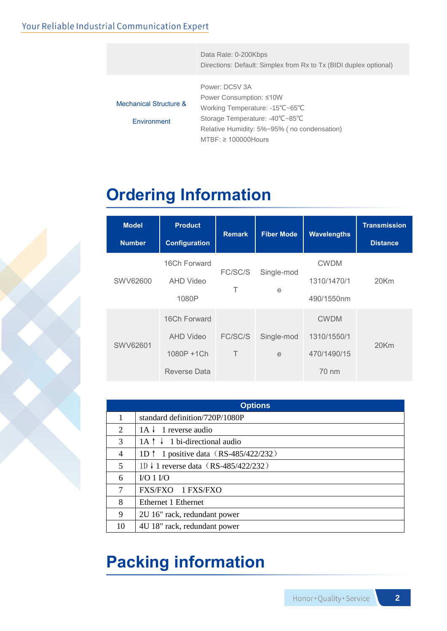#### Your Reliable Industrial Communication Expert

|                        | Data Rate: 0-200Kbps<br>Directions: Default: Simplex from Rx to Tx (BIDI duplex optional) |
|------------------------|-------------------------------------------------------------------------------------------|
|                        |                                                                                           |
|                        | Power: DC5V 3A                                                                            |
|                        | Power Consumption: ≤10W                                                                   |
| Mechanical Structure & | Working Temperature: -15°C~65°C                                                           |
| Environment            | Storage Temperature: -40°C~85°C                                                           |
|                        | Relative Humidity: 5%~95% (no condensation)                                               |
|                        | $MTBF: \geq 100000$ Hours                                                                 |

# **Ordering Information**

| <b>Model</b><br><b>Number</b> | <b>Product</b><br><b>Configuration</b>                         | <b>Remark</b>     | <b>Fiber Mode</b> | <b>Wavelengths</b>                                 | <b>Transmission</b><br><b>Distance</b> |
|-------------------------------|----------------------------------------------------------------|-------------------|-------------------|----------------------------------------------------|----------------------------------------|
| SWV62600                      | 16Ch Forward<br>AHD Video<br>1080P                             | FC/SC/S<br>Τ      | Single-mod<br>e   | <b>CWDM</b><br>1310/1470/1<br>490/1550nm           | 20Km                                   |
| SWV62601                      | 16Ch Forward<br><b>AHD Video</b><br>1080P +1Ch<br>Reverse Data | FC/SC/S<br>$\top$ | Single-mod<br>e   | <b>CWDM</b><br>1310/1550/1<br>470/1490/15<br>70 nm | 20Km                                   |

| <b>Options</b>              |                                                 |  |  |  |
|-----------------------------|-------------------------------------------------|--|--|--|
|                             | standard definition/720P/1080P                  |  |  |  |
| $\mathcal{D}_{\mathcal{L}}$ | $1A \downarrow 1$ reverse audio                 |  |  |  |
| 3                           | $1A \uparrow \downarrow 1$ bi-directional audio |  |  |  |
| 4                           | 1D $\uparrow$ 1 positive data (RS-485/422/232)  |  |  |  |
| 5                           | 1D ↓ 1 reverse data (RS-485/422/232)            |  |  |  |
| 6                           | $VO 1 VO$                                       |  |  |  |
| 7                           | FXS/FXO 1 FXS/FXO                               |  |  |  |
| 8                           | Ethernet 1 Ethernet                             |  |  |  |
| 9                           | 2U 16" rack, redundant power                    |  |  |  |
| 10                          | 4U 18" rack, redundant power                    |  |  |  |

# **Packing information**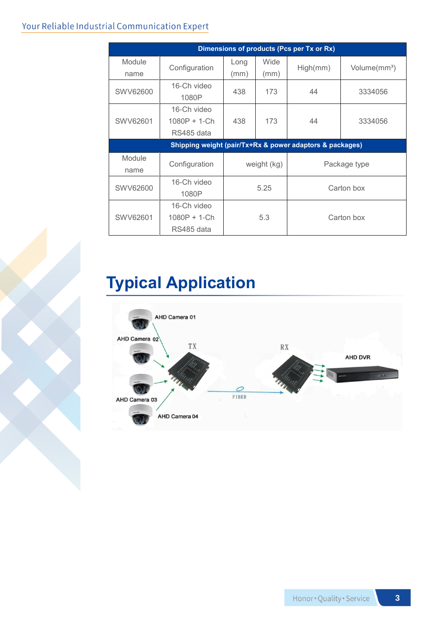#### Your Reliable Industrial Communication Expert

| Dimensions of products (Pcs per Tx or Rx)                |                                             |              |              |              |                          |  |  |
|----------------------------------------------------------|---------------------------------------------|--------------|--------------|--------------|--------------------------|--|--|
| Module<br>name                                           | Configuration                               | Long<br>(mm) | Wide<br>(mm) | High(mm)     | Volume(mm <sup>3</sup> ) |  |  |
| SWV62600                                                 | 16-Ch video<br>1080P                        | 438          | 173          | 44           | 3334056                  |  |  |
| SWV62601                                                 | 16-Ch video<br>$1080P + 1-Ch$<br>RS485 data | 438          | 173          | 44           | 3334056                  |  |  |
| Shipping weight (pair/Tx+Rx & power adaptors & packages) |                                             |              |              |              |                          |  |  |
| Module<br>name                                           | Configuration                               | weight (kg)  |              | Package type |                          |  |  |
| SWV62600                                                 | 16-Ch video<br>1080P                        | 5.25         |              | Carton box   |                          |  |  |
| 16-Ch video<br>SWV62601<br>$1080P + 1-Ch$<br>RS485 data  |                                             | 5.3          |              | Carton box   |                          |  |  |

# **Typical Application**